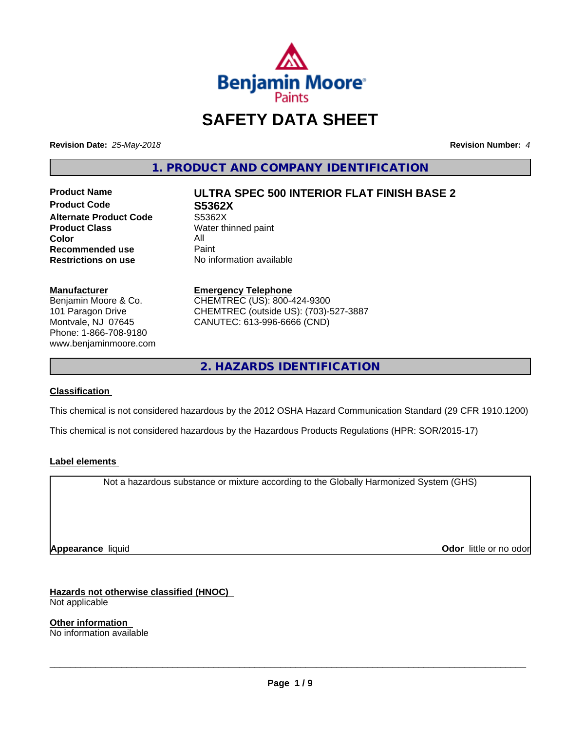

## **SAFETY DATA SHEET**

**Revision Date:** *25-May-2018* **Revision Number:** *4*

**1. PRODUCT AND COMPANY IDENTIFICATION**

**Product Code S5362X Alternate Product Code** S5362X<br> **Product Class** Water th **Color** All<br> **Recommended use** Paint **Recommended use**<br>Restrictions on use

## **Product Name ULTRA SPEC 500 INTERIOR FLAT FINISH BASE 2**

**Water thinned paint No information available** 

#### **Manufacturer**

Benjamin Moore & Co. 101 Paragon Drive Montvale, NJ 07645 Phone: 1-866-708-9180 www.benjaminmoore.com

#### **Emergency Telephone** CHEMTREC (US): 800-424-9300 CHEMTREC (outside US): (703)-527-3887 CANUTEC: 613-996-6666 (CND)

**2. HAZARDS IDENTIFICATION**

#### **Classification**

This chemical is not considered hazardous by the 2012 OSHA Hazard Communication Standard (29 CFR 1910.1200)

This chemical is not considered hazardous by the Hazardous Products Regulations (HPR: SOR/2015-17)

#### **Label elements**

Not a hazardous substance or mixture according to the Globally Harmonized System (GHS)

**Appearance** liquid **Odor in the original of the original of the original of the original of the original of the original of the original of the original of the original of the original of the original of the original of t** 

**Hazards not otherwise classified (HNOC)**

Not applicable

**Other information** No information available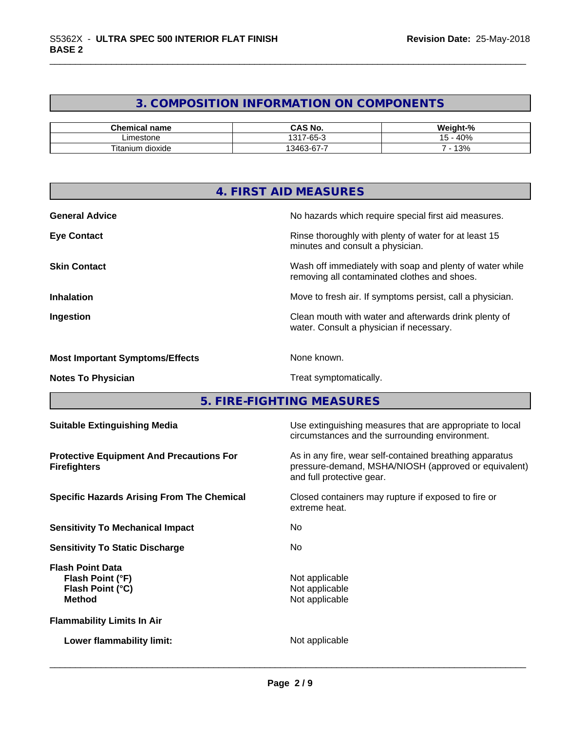#### **3. COMPOSITION INFORMATION ON COMPONENTS**

| Chemical name               | CAS No.                      | $\sim$<br><br>70 |
|-----------------------------|------------------------------|------------------|
| Limestone                   | $\sim$<br>131<br>$-2$<br>-טי | 40%              |
| $-1$<br>⊺itanium<br>dioxide | -<br>$\sim$<br>3162<br>. J - | $\sim$<br>  3%   |

|                                        | 4. FIRST AID MEASURES                                                                                                                             |
|----------------------------------------|---------------------------------------------------------------------------------------------------------------------------------------------------|
| <b>General Advice</b>                  | No hazards which require special first aid measures.                                                                                              |
| <b>Eye Contact</b>                     | Rinse thoroughly with plenty of water for at least 15<br>minutes and consult a physician.                                                         |
| <b>Skin Contact</b>                    | Wash off immediately with soap and plenty of water while<br>removing all contaminated clothes and shoes.                                          |
| <b>Inhalation</b>                      | Move to fresh air. If symptoms persist, call a physician.                                                                                         |
| Ingestion                              | Clean mouth with water and afterwards drink plenty of<br>water. Consult a physician if necessary.                                                 |
| <b>Most Important Symptoms/Effects</b> | None known.                                                                                                                                       |
| <b>Notes To Physician</b>              | Treat symptomatically.                                                                                                                            |
|                                        | 5. FIRE-FIGHTING MEASURES                                                                                                                         |
| <b>Suitable Extinguishing Media</b>    | Use extinguishing measures that are appropriate to local<br>المتحاومة والمسارين والمتاري والمتارين والمستنبط المتاريك والمتارين والمتحال والمستنب |

**Protective Equipment And Precautions For Firefighters**

**Sensitivity To Mechanical Impact** No

**Sensitivity To Static Discharge** No

**Flash Point Data Flash Point (°F)**<br> **Flash Point (°C)**<br> **Flash Point (°C)**<br> **CO Flash Point (°C) Method** Not applicable

**Flammability Limits In Air**

**Lower flammability limit:** Not applicable

circumstances and the surrounding environment.

As in any fire, wear self-contained breathing apparatus pressure-demand, MSHA/NIOSH (approved or equivalent) and full protective gear.

**Specific Hazards Arising From The Chemical Closed containers may rupture if exposed to fire or** extreme heat.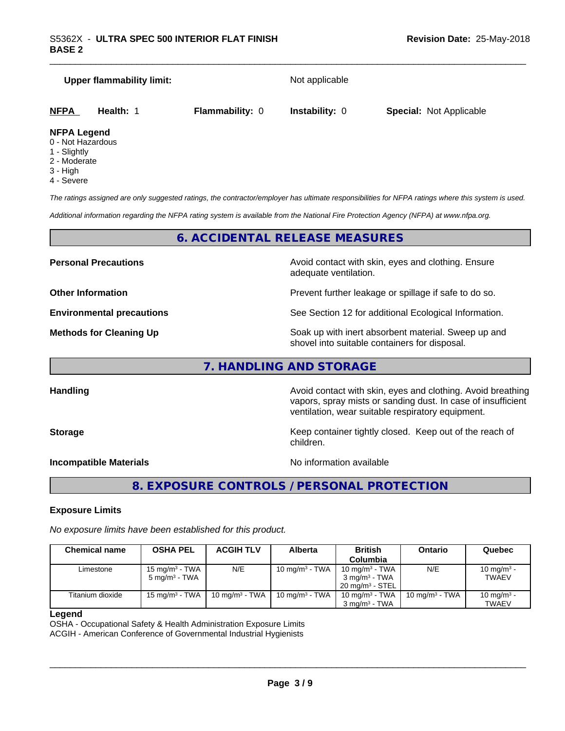| Upper flammability limit: |           | Not applicable         |                       |                                |
|---------------------------|-----------|------------------------|-----------------------|--------------------------------|
| <b>NFPA</b>               | Health: 1 | <b>Flammability: 0</b> | <b>Instability: 0</b> | <b>Special: Not Applicable</b> |

#### **NFPA Legend**

- 0 Not Hazardous
- 1 Slightly
- 2 Moderate
- 3 High
- 4 Severe

*The ratings assigned are only suggested ratings, the contractor/employer has ultimate responsibilities for NFPA ratings where this system is used.*

*Additional information regarding the NFPA rating system is available from the National Fire Protection Agency (NFPA) at www.nfpa.org.*

#### **6. ACCIDENTAL RELEASE MEASURES**

**Personal Precautions Precautions Personal Precautions Avoid contact with skin, eyes and clothing. Ensure** adequate ventilation.

**Other Information Department Information Department Intervent further leakage or spillage if safe to do so.** 

**Environmental precautions** See Section 12 for additional Ecological Information.

**Methods for Cleaning Up Example 20 Soak** up with inert absorbent material. Sweep up and shovel into suitable containers for disposal.

vapors, spray mists or sanding dust. In case of insufficient

ventilation, wear suitable respiratory equipment.

**7. HANDLING AND STORAGE**

**Handling Handling Avoid contact with skin, eyes and clothing. Avoid breathing** 

#### **Storage Keep container tightly closed. Keep out of the reach of Keep Keep container tightly closed. Keep out of the reach of**

**Incompatible Materials No information available** 

 $\overline{\phantom{a}}$  ,  $\overline{\phantom{a}}$  ,  $\overline{\phantom{a}}$  ,  $\overline{\phantom{a}}$  ,  $\overline{\phantom{a}}$  ,  $\overline{\phantom{a}}$  ,  $\overline{\phantom{a}}$  ,  $\overline{\phantom{a}}$  ,  $\overline{\phantom{a}}$  ,  $\overline{\phantom{a}}$  ,  $\overline{\phantom{a}}$  ,  $\overline{\phantom{a}}$  ,  $\overline{\phantom{a}}$  ,  $\overline{\phantom{a}}$  ,  $\overline{\phantom{a}}$  ,  $\overline{\phantom{a}}$ 

**8. EXPOSURE CONTROLS / PERSONAL PROTECTION**

children.

#### **Exposure Limits**

*No exposure limits have been established for this product.*

| <b>Chemical name</b> | <b>OSHA PEL</b>                        | <b>ACGIH TLV</b>          | Alberta           | <b>British</b>             | <b>Ontario</b>    | Quebec                 |
|----------------------|----------------------------------------|---------------------------|-------------------|----------------------------|-------------------|------------------------|
|                      |                                        |                           |                   | Columbia                   |                   |                        |
| Limestone            | 15 mg/m $3$ - TWA                      | N/E                       | 10 mg/m $3$ - TWA | 10 mg/m $3$ - TWA          | N/E               | 10 mg/m <sup>3</sup> - |
|                      | 5 mg/m <sup>3</sup> - TWA              |                           |                   | 3 mg/m <sup>3</sup> - TWA  |                   | <b>TWAEV</b>           |
|                      |                                        |                           |                   | $20 \text{ ma/m}^3$ - STEL |                   |                        |
| Titanium dioxide     | 15 mg/m <sup>3</sup> - TWA $\parallel$ | $10 \text{ ma/m}^3$ - TWA | 10 mg/m $3$ - TWA | 10 mg/m $3$ - TWA          | 10 mg/m $3$ - TWA | 10 mg/m <sup>3</sup> - |
|                      |                                        |                           |                   | $3 \text{ ma/m}^3$ - TWA   |                   | <b>TWAEV</b>           |

#### **Legend**

OSHA - Occupational Safety & Health Administration Exposure Limits ACGIH - American Conference of Governmental Industrial Hygienists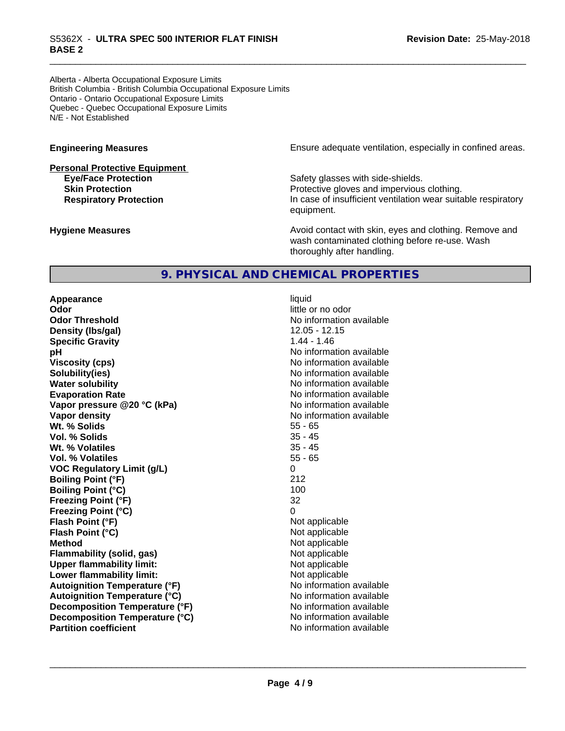### \_\_\_\_\_\_\_\_\_\_\_\_\_\_\_\_\_\_\_\_\_\_\_\_\_\_\_\_\_\_\_\_\_\_\_\_\_\_\_\_\_\_\_\_\_\_\_\_\_\_\_\_\_\_\_\_\_\_\_\_\_\_\_\_\_\_\_\_\_\_\_\_\_\_\_\_\_\_\_\_\_\_\_\_\_\_\_\_\_\_\_\_\_ S5362X - **ULTRA SPEC <sup>500</sup> INTERIOR FLAT FINISH BASE 2**

Alberta - Alberta Occupational Exposure Limits British Columbia - British Columbia Occupational Exposure Limits Ontario - Ontario Occupational Exposure Limits Quebec - Quebec Occupational Exposure Limits N/E - Not Established

# **Personal Protective Equipment**

**Engineering Measures Engineering Measures Ensure adequate ventilation, especially in confined areas.** 

**Eye/Face Protection Safety glasses with side-shields. Skin Protection Protection Protective gloves and impervious clothing. Respiratory Protection In case of insufficient ventilation wear suitable respiratory** equipment.

**Hygiene Measures Avoid contact with skin, eyes and clothing. Remove and Avoid contact with skin, eyes and clothing. Remove and Avoid contact with skin, eyes and clothing. Remove and** wash contaminated clothing before re-use. Wash thoroughly after handling.

#### **9. PHYSICAL AND CHEMICAL PROPERTIES**

**Appearance** liquid **Odor** little or no odor **Odor Threshold** No information available **Density (lbs/gal)** 12.05 - 12.15 **Specific Gravity** 1.44 - 1.46 **pH pH**  $\blacksquare$ **Viscosity (cps)** No information available **Solubility(ies)** No information available in the solution of the solution of the solution available in the solution of the solution of the solution of the solution of the solution of the solution of the solution of the so **Water solubility** No information available **Evaporation Rate** No information available **Vapor pressure @20 °C (kPa)** No information available **Vapor density No information available No information available Wt. % Solids** 55 - 65 **Vol. % Solids** 35 - 45 Wt. % Volatiles **Vol. % Volatiles** 55 - 65 **VOC Regulatory Limit (g/L)** 0 **Boiling Point (°F)** 212 **Boiling Point (°C)** 100 **Freezing Point (°F)** 32 **Freezing Point (°C)** 0 **Flash Point (°F)**<br> **Flash Point (°C)**<br> **Flash Point (°C)**<br> **Not** applicable<br>
Not applicable **Flash Point (°C) Method** Not applicable **Flammability (solid, gas)**<br> **Upper flammability limit:**<br>
Upper flammability limit:<br>  $\begin{array}{ccc}\n\bullet & \bullet & \bullet \\
\bullet & \bullet & \bullet\n\end{array}$ **Upper flammability limit:**<br> **Lower flammability limit:** Not applicable Not applicable **Lower flammability limit: Autoignition Temperature (°F)**<br> **Autoignition Temperature (°C)**<br> **Autoignition Temperature (°C)**<br> **Autoignition Temperature (°C)**<br> **Autoignition Temperature (°C) Autoignition Temperature (°C) Decomposition Temperature** (°F) No information available **Decomposition Temperature (°C)** No information available<br> **Partition coefficient Partition available Partition coefficient**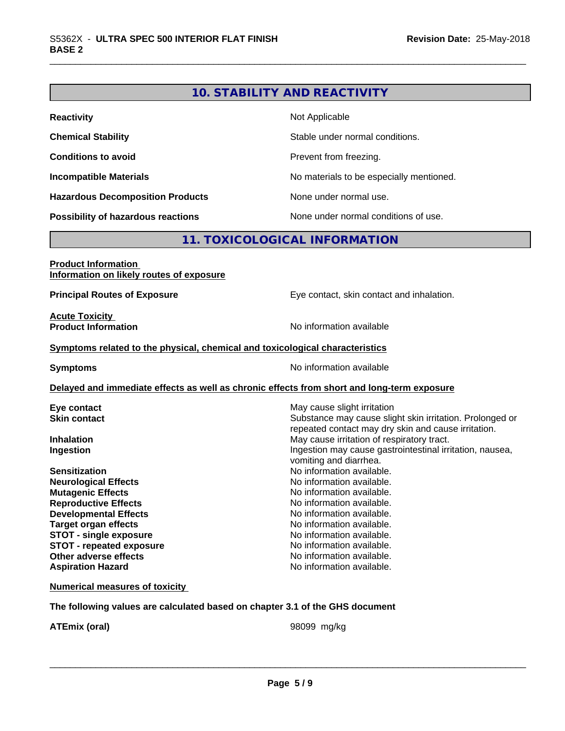#### **10. STABILITY AND REACTIVITY**

| <b>Reactivity</b>                         | Not Applicable                           |
|-------------------------------------------|------------------------------------------|
| <b>Chemical Stability</b>                 | Stable under normal conditions.          |
| <b>Conditions to avoid</b>                | Prevent from freezing.                   |
| <b>Incompatible Materials</b>             | No materials to be especially mentioned. |
| <b>Hazardous Decomposition Products</b>   | None under normal use.                   |
| <b>Possibility of hazardous reactions</b> | None under normal conditions of use.     |

#### **11. TOXICOLOGICAL INFORMATION**

#### **Product Information Information on likely routes of exposure Principal Routes of Exposure Exposure** Eye contact, skin contact and inhalation. **Acute Toxicity Product Information Information No information available Symptoms related to the physical,chemical and toxicological characteristics Symptoms** No information available **Delayed and immediate effects as well as chronic effects from short and long-term exposure Eye contact Execution Skin contact** May cause slight irritation Skin contact **Skin contact** Substance may cause slic Substance may cause slight skin irritation. Prolonged or repeated contact may dry skin and cause irritation. **Inhalation Inhalation Inhalation May cause irritation of respiratory tract. Ingestion Ingestion Ingestion may cause gastrointestinal irritation, nausea,** vomiting and diarrhea. **Sensitization**<br> **No information available.**<br> **No information available.**<br>
No information available. **No information available. Mutagenic Effects Mutagenic Effects No information available. Reproductive Effects No information available. Developmental Effects No information available. Target organ effects** No information available. **STOT** - single exposure **No information available. STOT** - **repeated exposure 1988 COVERSITY COVER 12 AND INTERFERITY DETAILS ARE NOT A LIMIT OF A LIMIT OF A LIMIT OF A LIMIT OF A LIMIT OF A LIMIT OF A LIMIT OF A LIMIT OF A LIMIT OF A LIMIT OF A LIMIT OF A LIMIT OF A Other adverse effects** No information available. **Aspiration Hazard Aspiration Hazard No information available. Numerical measures of toxicity**

**The following values are calculated based on chapter 3.1 of the GHS document**

**ATEmix (oral)** 98099 mg/kg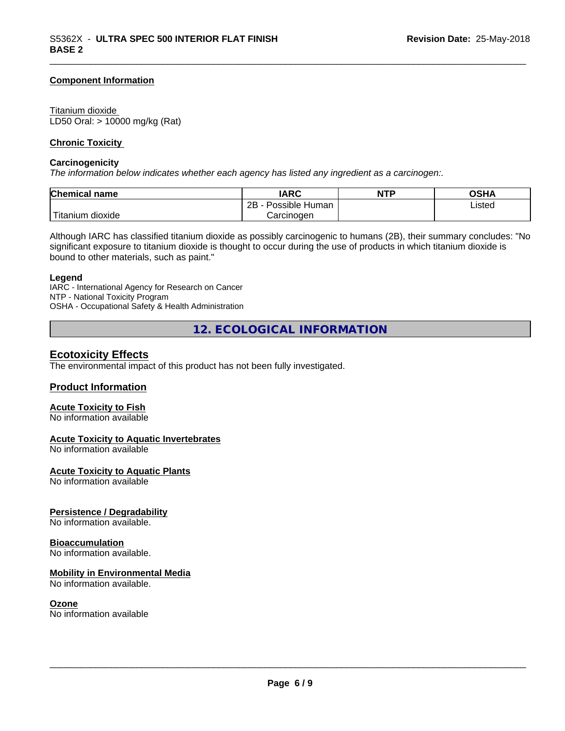#### **Component Information**

#### Titanium dioxide

LD50 Oral: > 10000 mg/kg (Rat)

#### **Chronic Toxicity**

#### **Carcinogenicity**

*The information below indicateswhether each agency has listed any ingredient as a carcinogen:.*

| Chemical<br>∣ name     | <b>IARC</b>                    | <b>NTP</b> | OSHA   |
|------------------------|--------------------------------|------------|--------|
|                        | . .<br>2B<br>Possible<br>Human |            | Listed |
| n dioxide<br>l itanıum | Carcinoɑen                     |            |        |

Although IARC has classified titanium dioxide as possibly carcinogenic to humans (2B), their summary concludes: "No significant exposure to titanium dioxide is thought to occur during the use of products in which titanium dioxide is bound to other materials, such as paint."

#### **Legend**

IARC - International Agency for Research on Cancer NTP - National Toxicity Program OSHA - Occupational Safety & Health Administration

**12. ECOLOGICAL INFORMATION**

#### **Ecotoxicity Effects**

The environmental impact of this product has not been fully investigated.

#### **Product Information**

#### **Acute Toxicity to Fish**

No information available

#### **Acute Toxicity to Aquatic Invertebrates**

No information available

#### **Acute Toxicity to Aquatic Plants**

No information available

#### **Persistence / Degradability**

No information available.

#### **Bioaccumulation**

No information available.

#### **Mobility in Environmental Media**

No information available.

#### **Ozone**

No information available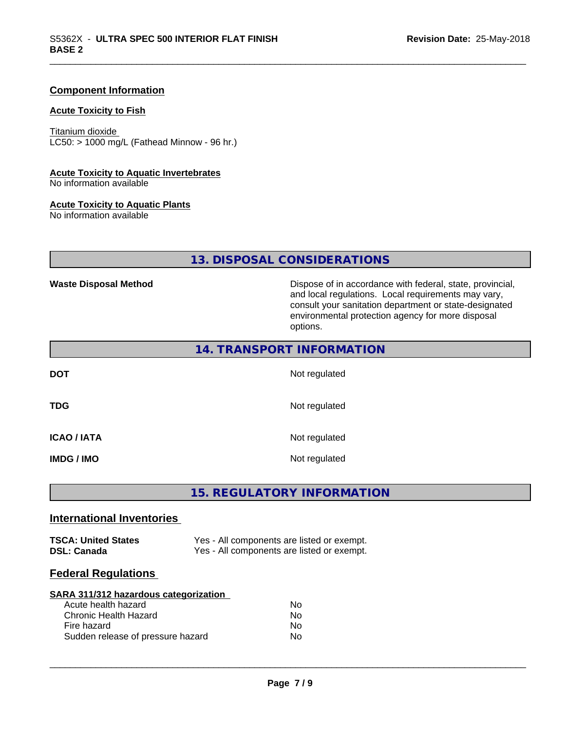#### **Component Information**

#### **Acute Toxicity to Fish**

Titanium dioxide  $LC50:$  > 1000 mg/L (Fathead Minnow - 96 hr.)

#### **Acute Toxicity to Aquatic Invertebrates**

No information available

#### **Acute Toxicity to Aquatic Plants**

No information available

#### **13. DISPOSAL CONSIDERATIONS**

Waste Disposal Method **Dispose of in accordance with federal, state, provincial,** and local regulations. Local requirements may vary, consult your sanitation department or state-designated environmental protection agency for more disposal options.

| 14. TRANSPORT INFORMATION |               |  |  |  |
|---------------------------|---------------|--|--|--|
| <b>DOT</b>                | Not regulated |  |  |  |
| <b>TDG</b>                | Not regulated |  |  |  |
| ICAO / IATA               | Not regulated |  |  |  |
| IMDG / IMO                | Not regulated |  |  |  |

#### **15. REGULATORY INFORMATION**

#### **International Inventories**

| <b>TSCA: United States</b> | Yes - All components are listed or exempt. |
|----------------------------|--------------------------------------------|
| <b>DSL: Canada</b>         | Yes - All components are listed or exempt. |

#### **Federal Regulations**

#### **SARA 311/312 hazardous categorization** Acute health hezerd

| AGULT HUQILI HALAI U              | IVU |
|-----------------------------------|-----|
| Chronic Health Hazard             | No. |
| Fire hazard                       | Nο  |
| Sudden release of pressure hazard | Nο  |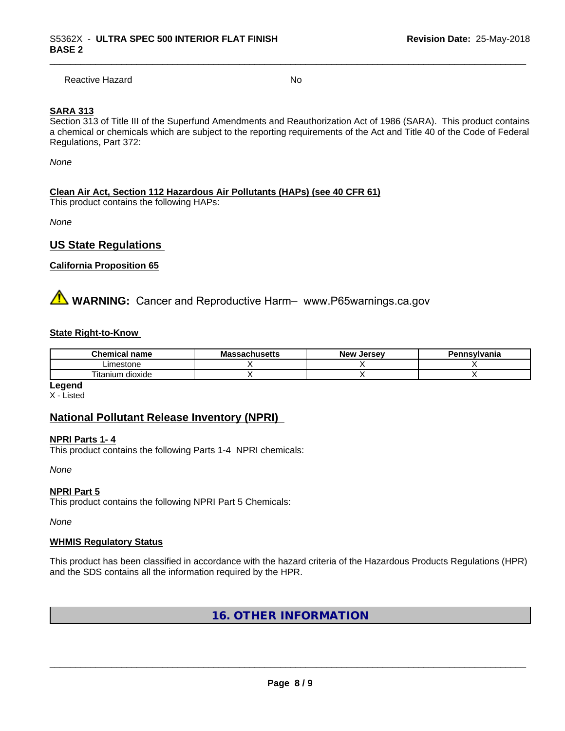Reactive Hazard No. No. 2014

#### **SARA 313**

Section 313 of Title III of the Superfund Amendments and Reauthorization Act of 1986 (SARA). This product contains a chemical or chemicals which are subject to the reporting requirements of the Act and Title 40 of the Code of Federal Regulations, Part 372:

*None*

#### **Clean Air Act,Section 112 Hazardous Air Pollutants (HAPs) (see 40 CFR 61)**

This product contains the following HAPs:

*None*

#### **US State Regulations**

#### **California Proposition 65**

**AVIMARNING:** Cancer and Reproductive Harm– www.P65warnings.ca.gov

#### **State Right-to-Know**

| ' name<br>hemical               | $\cdots$<br>Мi<br>นแนวចแว | المعتما<br><b>Nev</b><br><br>æ | าnsvlvania<br>. |
|---------------------------------|---------------------------|--------------------------------|-----------------|
| imestone                        |                           |                                |                 |
| <b></b><br>dioxide<br>ı itanıum |                           |                                |                 |

**Legend**

X - Listed

#### **National Pollutant Release Inventory (NPRI)**

#### **NPRI Parts 1- 4**

This product contains the following Parts 1-4 NPRI chemicals:

*None*

#### **NPRI Part 5**

This product contains the following NPRI Part 5 Chemicals:

*None*

#### **WHMIS Regulatory Status**

This product has been classified in accordance with the hazard criteria of the Hazardous Products Regulations (HPR) and the SDS contains all the information required by the HPR.

#### **16. OTHER INFORMATION**